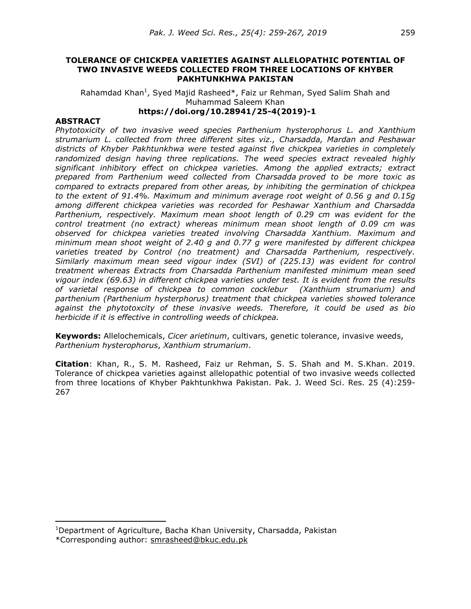#### **TOLERANCE OF CHICKPEA VARIETIES AGAINST ALLELOPATHIC POTENTIAL OF TWO INVASIVE WEEDS COLLECTED FROM THREE LOCATIONS OF KHYBER PAKHTUNKHWA PAKISTAN**

Rahamdad Khan<sup>1</sup>, Syed Majid Rasheed\*, Faiz ur Rehman, Syed Salim Shah and Muhammad Saleem Khan **https://doi.org/10.28941/25-4(2019)-1** 

#### **ABSTRACT**

-

*Phytotoxicity of two invasive weed species Parthenium hysterophorus L. and Xanthium strumarium L. collected from three different sites viz., Charsadda, Mardan and Peshawar districts of Khyber Pakhtunkhwa were tested against five chickpea varieties in completely randomized design having three replications. The weed species extract revealed highly significant inhibitory effect on chickpea varieties. Among the applied extracts; extract prepared from Parthenium weed collected from Charsadda proved to be more toxic as compared to extracts prepared from other areas, by inhibiting the germination of chickpea to the extent of 91.4%. Maximum and minimum average root weight of 0.56 g and 0.15g among different chickpea varieties was recorded for Peshawar Xanthium and Charsadda Parthenium, respectively. Maximum mean shoot length of 0.29 cm was evident for the control treatment (no extract) whereas minimum mean shoot length of 0.09 cm was observed for chickpea varieties treated involving Charsadda Xanthium. Maximum and minimum mean shoot weight of 2.40 g and 0.77 g were manifested by different chickpea varieties treated by Control (no treatment) and Charsadda Parthenium, respectively. Similarly maximum mean seed vigour index (SVI) of (225.13) was evident for control treatment whereas Extracts from Charsadda Parthenium manifested minimum mean seed vigour index (69.63) in different chickpea varieties under test. It is evident from the results of varietal response of chickpea to common cocklebur (Xanthium strumarium) and parthenium (Parthenium hysterphorus) treatment that chickpea varieties showed tolerance against the phytotoxcity of these invasive weeds. Therefore, it could be used as bio herbicide if it is effective in controlling weeds of chickpea.* 

**Keywords:** Allelochemicals, *Cicer arietinum*, cultivars, genetic tolerance, invasive weeds, *Parthenium hysterophorus*, *Xanthium strumarium*.

**Citation**: Khan, R., S. M. Rasheed, Faiz ur Rehman, S. S. Shah and M. S.Khan. 2019. Tolerance of chickpea varieties against allelopathic potential of two invasive weeds collected from three locations of Khyber Pakhtunkhwa Pakistan. Pak. J. Weed Sci. Res. 25 (4):259- 267

<sup>&</sup>lt;sup>1</sup>Department of Agriculture, Bacha Khan University, Charsadda, Pakistan \*Corresponding author: smrasheed@bkuc.edu.pk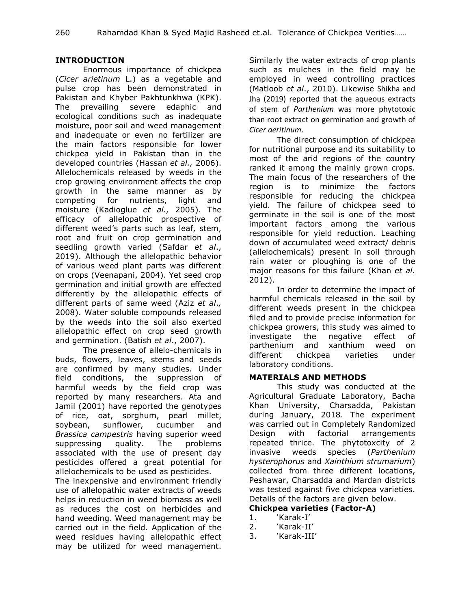## **INTRODUCTION**

 Enormous importance of chickpea (*Cicer arietinum* L.) as a vegetable and pulse crop has been demonstrated in Pakistan and Khyber Pakhtunkhwa (KPK). The prevailing severe edaphic and ecological conditions such as inadequate moisture, poor soil and weed management and inadequate or even no fertilizer are the main factors responsible for lower chickpea yield in Pakistan than in the developed countries (Hassan *et al.,* 2006). Allelochemicals released by weeds in the crop growing environment affects the crop growth in the same manner as by competing for nutrients, light and moisture (Kadioglue *et al.,* 2005). The efficacy of allelopathic prospective of different weed's parts such as leaf, stem, root and fruit on crop germination and seedling growth varied (Safdar *et al*., 2019). Although the allelopathic behavior of various weed plant parts was different on crops (Veenapani, 2004). Yet seed crop germination and initial growth are effected differently by the allelopathic effects of different parts of same weed (Aziz *et al*.*,*  2008). Water soluble compounds released by the weeds into the soil also exerted allelopathic effect on crop seed growth and germination. (Batish *et al*., 2007).

 The presence of allelo-chemicals in buds, flowers, leaves, stems and seeds are confirmed by many studies. Under field conditions, the suppression of harmful weeds by the field crop was reported by many researchers. Ata and Jamil (2001) have reported the genotypes of rice, oat, sorghum, pearl millet, soybean, sunflower, cucumber and *Brassica campestris* having superior weed suppressing quality. The problems associated with the use of present day pesticides offered a great potential for allelochemicals to be used as pesticides.

The inexpensive and environment friendly use of allelopathic water extracts of weeds helps in reduction in weed biomass as well as reduces the cost on herbicides and hand weeding. Weed management may be carried out in the field. Application of the weed residues having allelopathic effect may be utilized for weed management.

Similarly the water extracts of crop plants such as mulches in the field may be employed in weed controlling practices (Matloob *et al*., 2010). Likewise Shikha and Jha (2019) reported that the aqueous extracts of stem of *Parthenium* was more phytotoxic than root extract on germination and growth of *Cicer aeritinum*.

 The direct consumption of chickpea for nutritional purpose and its suitability to most of the arid regions of the country ranked it among the mainly grown crops. The main focus of the researchers of the region is to minimize the factors responsible for reducing the chickpea yield. The failure of chickpea seed to germinate in the soil is one of the most important factors among the various responsible for yield reduction. Leaching down of accumulated weed extract/ debris (allelochemicals) present in soil through rain water or ploughing is one of the major reasons for this failure (Khan *et al.* 2012).

 In order to determine the impact of harmful chemicals released in the soil by different weeds present in the chickpea filed and to provide precise information for chickpea growers, this study was aimed to investigate the negative effect of parthenium and xanthium weed on different chickpea varieties under laboratory conditions.

### **MATERIALS AND METHODS**

 This study was conducted at the Agricultural Graduate Laboratory, Bacha Khan University, Charsadda, Pakistan during January, 2018. The experiment was carried out in Completely Randomized Design with factorial arrangements repeated thrice. The phytotoxcity of 2 invasive weeds species (*Parthenium hysterophorus* and *Xainthium strumarium*) collected from three different locations, Peshawar, Charsadda and Mardan districts was tested against five chickpea varieties. Details of the factors are given below.

# **Chickpea varieties (Factor-A)**

- 1. 'Karak-I'
- 2. 'Karak-II'
- 3. 'Karak-III'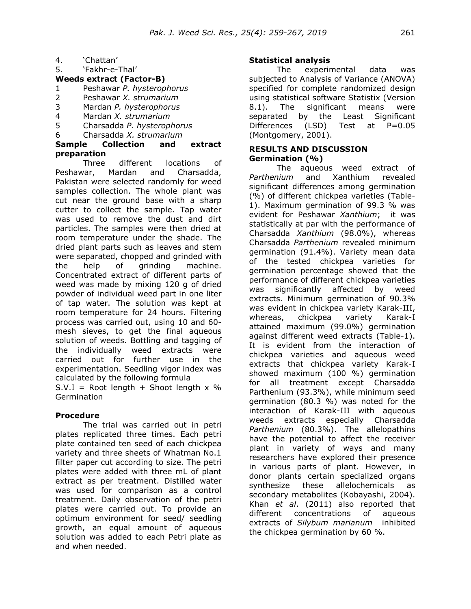- 4. 'Chattan'
- 5. 'Fakhr-e-Thal'

## **Weeds extract (Factor-B)**

- 1 Peshawar *P. hysterophorus*
- 2 Peshawar *X. strumarium*
- 3 Mardan *P. hysterophorus*
- 4 Mardan *X. strumarium*
- 5 Charsadda *P. hysterophorus*
- 6 Charsadda *X. strumarium*

### **Sample Collection and extract preparation**

 Three different locations of Peshawar, Mardan and Charsadda, Pakistan were selected randomly for weed samples collection. The whole plant was cut near the ground base with a sharp cutter to collect the sample. Tap water was used to remove the dust and dirt particles. The samples were then dried at room temperature under the shade. The dried plant parts such as leaves and stem were separated, chopped and grinded with the help of grinding machine. Concentrated extract of different parts of weed was made by mixing 120 g of dried powder of individual weed part in one liter of tap water. The solution was kept at room temperature for 24 hours. Filtering process was carried out, using 10 and 60 mesh sieves, to get the final aqueous solution of weeds. Bottling and tagging of the individually weed extracts were carried out for further use in the experimentation. Seedling vigor index was calculated by the following formula

 $S.V.I = Root length + Shoot length × %$ **Germination** 

### **Procedure**

 The trial was carried out in petri plates replicated three times. Each petri plate contained ten seed of each chickpea variety and three sheets of Whatman No.1 filter paper cut according to size. The petri plates were added with three mL of plant extract as per treatment. Distilled water was used for comparison as a control treatment. Daily observation of the petri plates were carried out. To provide an optimum environment for seed/ seedling growth, an equal amount of aqueous solution was added to each Petri plate as and when needed.

### **Statistical analysis**

 The experimental data was subjected to Analysis of Variance (ANOVA) specified for complete randomized design using statistical software Statistix (Version 8.1). The significant means were separated by the Least Significant Differences (LSD) Test at P=0.05 (Montgomery, 2001).

### **RESULTS AND DISCUSSION Germination (%)**

 The aqueous weed extract of *Parthenium* and Xanthium revealed significant differences among germination (%) of different chickpea varieties (Table-1). Maximum germination of 99.3 % was evident for Peshawar *Xanthium*; it was statistically at par with the performance of Charsadda *Xanthium* (98.0%), whereas Charsadda *Parthenium* revealed minimum germination (91.4%). Variety mean data of the tested chickpea varieties for germination percentage showed that the performance of different chickpea varieties was significantly affected by weed extracts. Minimum germination of 90.3% was evident in chickpea variety Karak-III, whereas, chickpea variety Karak-I attained maximum (99.0%) germination against different weed extracts (Table-1). It is evident from the interaction of chickpea varieties and aqueous weed extracts that chickpea variety Karak-I showed maximum (100 %) germination for all treatment except Charsadda Parthenium (93.3%), while minimum seed germination (80.3 %) was noted for the interaction of Karak-III with aqueous weeds extracts especially Charsadda *Parthenium* (80.3%). The allelopathins have the potential to affect the receiver plant in variety of ways and many researchers have explored their presence in various parts of plant. However, in donor plants certain specialized organs synthesize these allelochemicals as secondary metabolites (Kobayashi, 2004). Khan *et al*. (2011) also reported that different concentrations of aqueous extracts of *Silybum marianum* inhibited the chickpea germination by 60 %.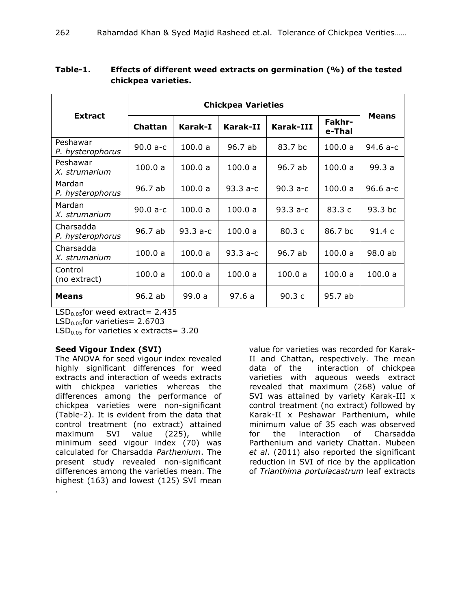| <b>Extract</b>                |            |           |            |            |                  |              |
|-------------------------------|------------|-----------|------------|------------|------------------|--------------|
|                               | Chattan    | Karak-I   | Karak-II   | Karak-III  | Fakhr-<br>e-Thal | <b>Means</b> |
| Peshawar<br>P. hysterophorus  | $90.0 a-c$ | 100.0 a   | 96.7 ab    | 83.7 bc    | 100.0 a          | 94.6 a-c     |
| Peshawar<br>X. strumarium     | 100.0a     | 100.0a    | 100.0 a    | 96.7 ab    | 100.0 a          | 99.3 a       |
| Mardan<br>P. hysterophorus    | 96.7 ab    | 100.0 a   | $93.3 a-c$ | $90.3 a-c$ | 100.0 a          | $96.6 a-c$   |
| Mardan<br>X. strumarium       | $90.0 a-c$ | 100.0 a   | 100.0 a    | 93.3 a-c   | 83.3c            | 93.3 bc      |
| Charsadda<br>P. hysterophorus | 96.7 ab    | $93.3a-c$ | 100.0a     | 80.3 c     | 86.7 bc          | 91.4 c       |
| Charsadda<br>X. strumarium    | 100.0a     | 100.0a    | $93.3a-c$  | 96.7 ab    | 100.0 a          | 98.0 ab      |
| Control<br>(no extract)       | 100.0 a    | 100.0 a   | 100.0 a    | 100.0 a    | 100.0 a          | 100.0a       |
| <b>Means</b>                  | 96.2ab     | 99.0a     | 97.6a      | 90.3c      | 95.7 ab          |              |

**Table-1. Effects of different weed extracts on germination (%) of the tested chickpea varieties.** 

 $LSD<sub>0.05</sub>$ for weed extract= 2.435

 $LSD<sub>0.05</sub>$ for varieties= 2.6703

LSD<sub>0.05</sub> for varieties x extracts=  $3.20$ 

# **Seed Vigour Index (SVI)**

The ANOVA for seed vigour index revealed highly significant differences for weed extracts and interaction of weeds extracts with chickpea varieties whereas the differences among the performance of chickpea varieties were non-significant (Table-2). It is evident from the data that control treatment (no extract) attained maximum SVI value (225), while minimum seed vigour index (70) was calculated for Charsadda *Parthenium*. The present study revealed non-significant differences among the varieties mean. The highest (163) and lowest (125) SVI mean .

value for varieties was recorded for Karak-II and Chattan, respectively. The mean data of the interaction of chickpea varieties with aqueous weeds extract revealed that maximum (268) value of SVI was attained by variety Karak-III x control treatment (no extract) followed by Karak-II x Peshawar Parthenium, while minimum value of 35 each was observed for the interaction of Charsadda Parthenium and variety Chattan. Mubeen *et al*. (2011) also reported the significant reduction in SVI of rice by the application of *Trianthima portulacastrum* leaf extracts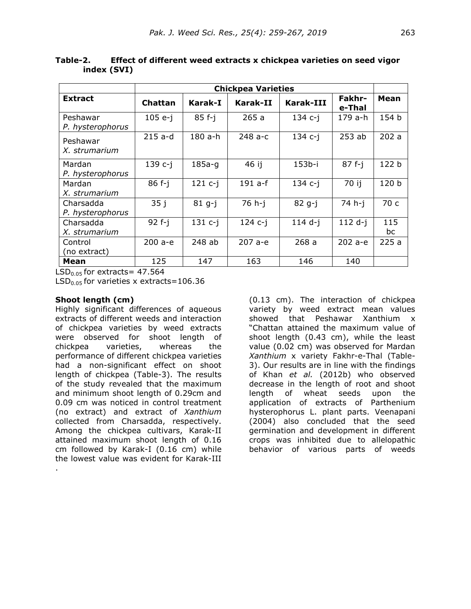|                               | <b>Chickpea Varieties</b> |             |             |           |                  |           |
|-------------------------------|---------------------------|-------------|-------------|-----------|------------------|-----------|
| <b>Extract</b>                | Chattan                   | Karak-I     | Karak-II    | Karak-III | Fakhr-<br>e-Thal | Mean      |
| Peshawar<br>P. hysterophorus  | $105 e-i$                 | $85f-i$     | 265a        | $134 c-i$ | 179 a-h          | 154 b     |
| Peshawar<br>X. strumarium     | $215$ a-d                 | 180 a-h     | 248 a-c     | $134$ c-j | 253ab            | 202a      |
| Mardan<br>P. hysterophorus    | 139 c-j                   | $185a-q$    | 46 ij       | 153b-i    | $87f-i$          | 122 b     |
| Mardan<br>X. strumarium       | $86f-1$                   | $121$ $c-j$ | $191$ a-f   | $134 c-i$ | 70 ij            | 120 b     |
| Charsadda<br>P. hysterophorus | 35j                       | $81 g-j$    | $76 h - j$  | 82 g-j    | 74 h-i           | 70 c      |
| Charsadda<br>X. strumarium    | $92f-i$                   | $131 c-j$   | $124 c - j$ | $114$ d-j | $112 d-i$        | 115<br>bc |
| Control<br>(no extract)       | 200 a-e                   | 248 ab      | $207a-e$    | 268a      | $202a - e$       | 225a      |
| Mean                          | 125                       | 147         | 163         | 146       | 140              |           |

**Table-2. Effect of different weed extracts x chickpea varieties on seed vigor index (SVI)** 

 $LSD<sub>0.05</sub>$  for extracts = 47.564

 $LSD<sub>0.05</sub>$  for varieties x extracts=106.36

#### **Shoot length (cm)**

.

Highly significant differences of aqueous extracts of different weeds and interaction of chickpea varieties by weed extracts were observed for shoot length of chickpea varieties, whereas the performance of different chickpea varieties had a non-significant effect on shoot length of chickpea (Table-3). The results of the study revealed that the maximum and minimum shoot length of 0.29cm and 0.09 cm was noticed in control treatment (no extract) and extract of *Xanthium* collected from Charsadda, respectively. Among the chickpea cultivars, Karak-II attained maximum shoot length of 0.16 cm followed by Karak-I (0.16 cm) while the lowest value was evident for Karak-III

(0.13 cm). The interaction of chickpea variety by weed extract mean values showed that Peshawar Xanthium x "Chattan attained the maximum value of shoot length (0.43 cm), while the least value (0.02 cm) was observed for Mardan *Xanthium* x variety Fakhr-e-Thal (Table-3). Our results are in line with the findings of Khan *et al.* (2012b) who observed decrease in the length of root and shoot length of wheat seeds upon the application of extracts of Parthenium hysterophorus L. plant parts. Veenapani (2004) also concluded that the seed germination and development in different crops was inhibited due to allelopathic behavior of various parts of weeds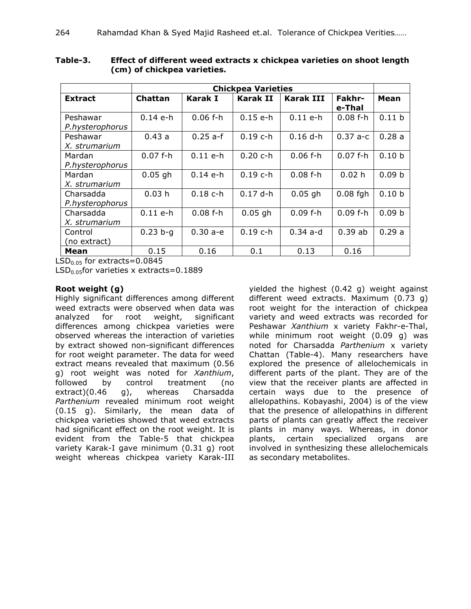|                              | <b>Chickpea Varieties</b> |                |            |                  |                  |                   |
|------------------------------|---------------------------|----------------|------------|------------------|------------------|-------------------|
| <b>Extract</b>               | <b>Chattan</b>            | <b>Karak I</b> | Karak II   | <b>Karak III</b> | Fakhr-<br>e-Thal | Mean              |
| Peshawar<br>P.hysterophorus  | $0.14$ e-h                | $0.06$ f-h     | $0.15$ e-h | $0.11$ e-h       | $0.08$ f-h       | 0.11 <sub>b</sub> |
| Peshawar<br>X. strumarium    | 0.43a                     | $0.25$ a-f     | $0.19$ c-h | $0.16$ d-h       | $0.37 a-c$       | 0.28a             |
| Mardan<br>P.hysterophorus    | $0.07 f-h$                | $0.11$ e-h     | $0.20 c-h$ | $0.06 f-h$       | $0.07$ f-h       | 0.10 <sub>b</sub> |
| Mardan<br>X. strumarium      | $0.05$ gh                 | $0.14$ e-h     | $0.19$ c-h | $0.08f-h$        | 0.02 h           | 0.09 <sub>b</sub> |
| Charsadda<br>P.hysterophorus | 0.03h                     | $0.18$ c-h     | $0.17$ d-h | $0.05$ gh        | $0.08$ fgh       | 0.10 <sub>b</sub> |
| Charsadda<br>X. strumarium   | $0.11$ e-h                | $0.08f-h$      | $0.05$ gh  | $0.09 f-h$       | $0.09f-h$        | 0.09 <sub>b</sub> |
| Control<br>(no extract)      | $0.23 b - q$              | $0.30 a - e$   | $0.19$ c-h | $0.34$ a-d       | 0.39ab           | 0.29a             |
| Mean                         | 0.15                      | 0.16           | 0.1        | 0.13             | 0.16             |                   |

**Table-3. Effect of different weed extracts x chickpea varieties on shoot length (cm) of chickpea varieties.** 

 $LSD<sub>0.05</sub>$  for extracts=0.0845

 $LSD<sub>0.05</sub>$ for varieties x extracts=0.1889

## **Root weight (g)**

Highly significant differences among different weed extracts were observed when data was analyzed for root weight, significant differences among chickpea varieties were observed whereas the interaction of varieties by extract showed non-significant differences for root weight parameter. The data for weed extract means revealed that maximum (0.56 g) root weight was noted for *Xanthium*, followed by control treatment (no extract)(0.46 g), whereas Charsadda *Parthenium* revealed minimum root weight (0.15 g). Similarly, the mean data of chickpea varieties showed that weed extracts had significant effect on the root weight. It is evident from the Table-5 that chickpea variety Karak-I gave minimum (0.31 g) root weight whereas chickpea variety Karak-III yielded the highest (0.42 g) weight against different weed extracts. Maximum (0.73 g) root weight for the interaction of chickpea variety and weed extracts was recorded for Peshawar *Xanthium* x variety Fakhr-e-Thal, while minimum root weight (0.09 g) was noted for Charsadda *Parthenium* x variety Chattan (Table-4). Many researchers have explored the presence of allelochemicals in different parts of the plant. They are of the view that the receiver plants are affected in certain ways due to the presence of allelopathins. Kobayashi, 2004) is of the view that the presence of allelopathins in different parts of plants can greatly affect the receiver plants in many ways. Whereas, in donor plants, certain specialized organs are involved in synthesizing these allelochemicals as secondary metabolites.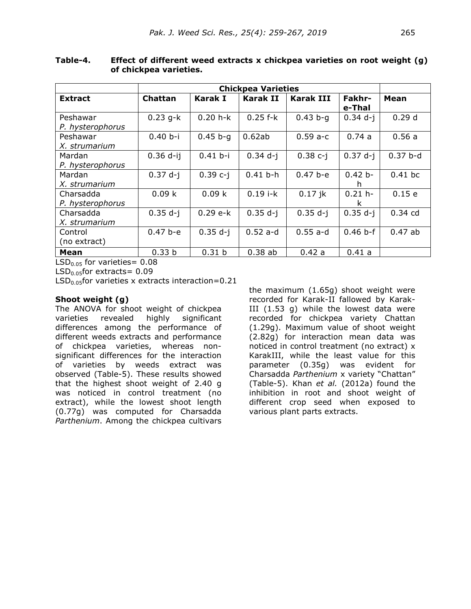|                  | <b>Chickpea Varieties</b> |                   |            |              |               |             |
|------------------|---------------------------|-------------------|------------|--------------|---------------|-------------|
| <b>Extract</b>   | Chattan                   | Karak I           | Karak II   | Karak III    | <b>Fakhr-</b> | <b>Mean</b> |
|                  |                           |                   |            |              | e-Thal        |             |
| Peshawar         | $0.23$ g-k                | $0.20 h - k$      | $0.25$ f-k | $0.43 b - q$ | $0.34$ d-j    | 0.29d       |
| P. hysterophorus |                           |                   |            |              |               |             |
| Peshawar         | $0.40 b - i$              | $0.45 b - q$      | 0.62ab     | $0.59a-c$    | 0.74a         | 0.56a       |
| X. strumarium    |                           |                   |            |              |               |             |
| Mardan           | $0.36$ d-ij               | $0.41 b - i$      | $0.34$ d-j | $0.38c-i$    | $0.37 d-i$    | $0.37 b-d$  |
| P. hysterophorus |                           |                   |            |              |               |             |
| Mardan           | $0.37 d-i$                | $0.39c-i$         | $0.41 b-h$ | $0.47 b - e$ | $0.42 b -$    | $0.41$ bc   |
| X. strumarium    |                           |                   |            |              | h             |             |
| Charsadda        | 0.09k                     | 0.09 k            | $0.19$ i-k | $0.17$ jk    | $0.21 h -$    | 0.15e       |
| P. hysterophorus |                           |                   |            |              | k             |             |
| Charsadda        | $0.35 d-i$                | $0.29 e-k$        | $0.35 d-i$ | $0.35 d-i$   | $0.35 d-i$    | $0.34$ cd   |
| X. strumarium    |                           |                   |            |              |               |             |
| Control          | $0.47 b - e$              | $0.35 d-i$        | $0.52$ a-d | $0.55$ a-d   | $0.46 b-f$    | 0.47ab      |
| (no extract)     |                           |                   |            |              |               |             |
| Mean             | 0.33 <sub>b</sub>         | 0.31 <sub>b</sub> | 0.38ab     | 0.42a        | 0.41 a        |             |

**Table-4. Effect of different weed extracts x chickpea varieties on root weight (g) of chickpea varieties.** 

 $LSD<sub>0.05</sub>$  for varieties= 0.08

 $LSD<sub>0.05</sub>$ for extracts= 0.09

 $LSD<sub>0.05</sub>$ for varieties x extracts interaction=0.21

## **Shoot weight (g)**

The ANOVA for shoot weight of chickpea varieties revealed highly significant differences among the performance of different weeds extracts and performance of chickpea varieties, whereas nonsignificant differences for the interaction of varieties by weeds extract was observed (Table-5). These results showed that the highest shoot weight of 2.40 g was noticed in control treatment (no extract), while the lowest shoot length (0.77g) was computed for Charsadda *Parthenium*. Among the chickpea cultivars

the maximum (1.65g) shoot weight were recorded for Karak-II fallowed by Karak-III (1.53 g) while the lowest data were recorded for chickpea variety Chattan (1.29g). Maximum value of shoot weight (2.82g) for interaction mean data was noticed in control treatment (no extract) x KarakIII, while the least value for this parameter (0.35g) was evident for Charsadda *Parthenium* x variety "Chattan" (Table-5). Khan *et al.* (2012a) found the inhibition in root and shoot weight of different crop seed when exposed to various plant parts extracts.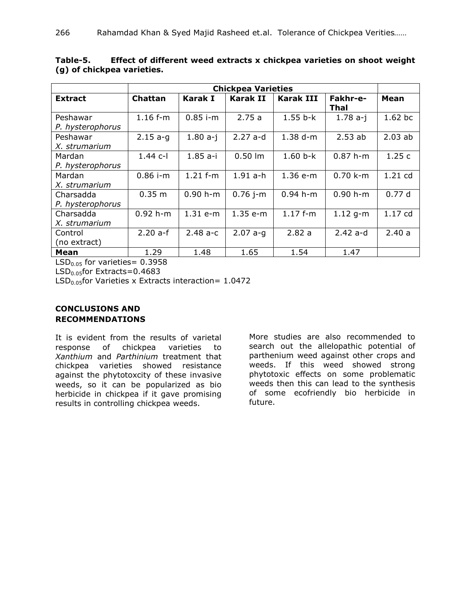|                  | <b>Chickpea Varieties</b> |              |                    |                  |            |           |
|------------------|---------------------------|--------------|--------------------|------------------|------------|-----------|
| <b>Extract</b>   | <b>Chattan</b>            | Karak I      | Karak II           | <b>Karak III</b> | Fakhr-e-   | Mean      |
|                  |                           |              |                    |                  | Thal       |           |
| Peshawar         | $1.16$ f-m                | $0.85$ i-m   | 2.75a              | $1.55 b-k$       | $1.78 a-i$ | 1.62 bc   |
| P. hysterophorus |                           |              |                    |                  |            |           |
| Peshawar         | $2.15a-q$                 | $1.80 a-i$   | $2.27$ a-d         | $1.38 d-m$       | 2.53ab     | 2.03ab    |
| X. strumarium    |                           |              |                    |                  |            |           |
| Mardan           | $1.44 c-1$                | $1.85 a - i$ | $0.50$ $\text{Im}$ | $1.60 b-k$       | $0.87 h-m$ | 1.25c     |
| P. hysterophorus |                           |              |                    |                  |            |           |
| Mardan           | $0.86$ i-m                | $1.21$ f-m   | $1.91$ a-h         | $1.36 e-m$       | $0.70$ k-m | $1.21$ cd |
| X. strumarium    |                           |              |                    |                  |            |           |
| Charsadda        | 0.35 m                    | $0.90 h-m$   | $0.76$ j-m         | $0.94 h-m$       | $0.90 h-m$ | 0.77d     |
| P. hysterophorus |                           |              |                    |                  |            |           |
| Charsadda        | $0.92 h-m$                | 1.31 e-m     | 1.35 e-m           | $1.17 f-m$       | $1.12$ q-m | 1.17 cd   |
| X. strumarium    |                           |              |                    |                  |            |           |
| Control          | $2.20a-f$                 | $2.48a-c$    | $2.07 a-g$         | 2.82a            | $2.42$ a-d | 2.40a     |
| (no extract)     |                           |              |                    |                  |            |           |
| Mean             | 1.29                      | 1.48         | 1.65               | 1.54             | 1.47       |           |

**Table-5. Effect of different weed extracts x chickpea varieties on shoot weight (g) of chickpea varieties.**

 $LSD<sub>0.05</sub>$  for varieties= 0.3958

 $LSD<sub>0.05</sub>$ for Extracts=0.4683

 $LSD<sub>0.05</sub>$ for Varieties x Extracts interaction= 1.0472

## **CONCLUSIONS AND RECOMMENDATIONS**

It is evident from the results of varietal response of chickpea varieties to *Xanthium* and *Parthinium* treatment that chickpea varieties showed resistance against the phytotoxcity of these invasive weeds, so it can be popularized as bio herbicide in chickpea if it gave promising results in controlling chickpea weeds.

More studies are also recommended to search out the allelopathic potential of parthenium weed against other crops and weeds. If this weed showed strong phytotoxic effects on some problematic weeds then this can lead to the synthesis of some ecofriendly bio herbicide in future.